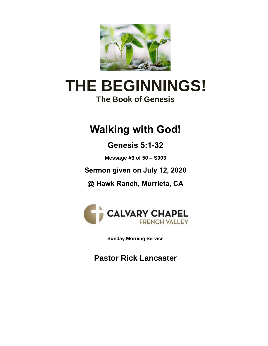

# **THE BEGINNINGS! The Book of Genesis**

# **Walking with God!**

# **Genesis 5:1-32**

**Message #6 of 50 – S903**

**Sermon given on July 12, 2020**

**@ Hawk Ranch, Murrieta, CA**



**Sunday Morning Service**

**Pastor Rick Lancaster**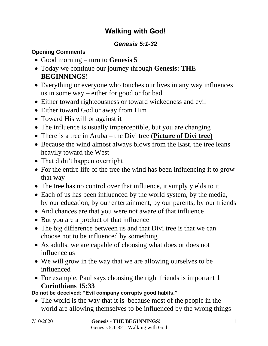## **Walking with God!**

### *Genesis 5:1-32*

#### **Opening Comments**

- Good morning turn to **Genesis 5**
- Today we continue our journey through **Genesis: THE BEGINNINGS!**
- Everything or everyone who touches our lives in any way influences us in some way – either for good or for bad
- Either toward righteousness or toward wickedness and evil
- Either toward God or away from Him
- Toward His will or against it
- The influence is usually imperceptible, but you are changing
- There is a tree in Aruba the Divi tree (**Picture of Divi tree)**
- Because the wind almost always blows from the East, the tree leans heavily toward the West
- That didn't happen overnight
- For the entire life of the tree the wind has been influencing it to grow that way
- The tree has no control over that influence, it simply yields to it
- Each of us has been influenced by the world system, by the media, by our education, by our entertainment, by our parents, by our friends
- And chances are that you were not aware of that influence
- But you are a product of that influence
- The big difference between us and that Divi tree is that we can choose not to be influenced by something
- As adults, we are capable of choosing what does or does not influence us
- We will grow in the way that we are allowing ourselves to be influenced
- For example, Paul says choosing the right friends is important **1 Corinthians 15:33**

**Do not be deceived: "Evil company corrupts good habits."**

• The world is the way that it is because most of the people in the world are allowing themselves to be influenced by the wrong things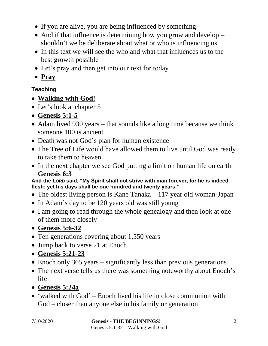- If you are alive, you are being influenced by something
- And if that influence is determining how you grow and develop shouldn't we be deliberate about what or who is influencing us
- In this text we will see the who and what that influences us to the best growth possible
- Let's pray and then get into our text for today
- **Pray**

### **Teaching**

- **Walking with God!**
- Let's look at chapter 5
- **Genesis 5:1-5**
- Adam lived 930 years that sounds like a long time because we think someone 100 is ancient
- Death was not God's plan for human existence
- The Tree of Life would have allowed them to live until God was ready to take them to heaven
- In the next chapter we see God putting a limit on human life on earth **Genesis 6:3**

**And the LORD said, "My Spirit shall not strive with man forever, for he** *is* **indeed flesh; yet his days shall be one hundred and twenty years."**

- The oldest living person is Kane Tanaka 117 year old woman-Japan
- In Adam's day to be 120 years old was still young
- I am going to read through the whole genealogy and then look at one of them more closely

• **Genesis 5:6-32**

- Ten generations covering about 1,550 years
- Jump back to verse 21 at Enoch
- **Genesis 5:21-23**
- Enoch only 365 years significantly less than previous generations
- The next verse tells us there was something noteworthy about Enoch's life
- **Genesis 5:24a**
- 'walked with God' Enoch lived his life in close communion with God – closer than anyone else in his family or generation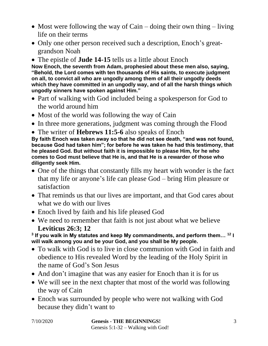- Most were following the way of Cain doing their own thing living life on their terms
- Only one other person received such a description, Enoch's greatgrandson Noah
- The epistle of **Jude 14-15** tells us a little about Enoch

**Now Enoch, the seventh from Adam, prophesied about these men also, saying, "Behold, the Lord comes with ten thousands of His saints, to execute judgment on all, to convict all who are ungodly among them of all their ungodly deeds which they have committed in an ungodly way, and of all the harsh things which ungodly sinners have spoken against Him."**

- Part of walking with God included being a spokesperson for God to the world around him
- Most of the world was following the way of Cain
- In three more generations, judgment was coming through the Flood
- The writer of **Hebrews 11:5-6** also speaks of Enoch

**By faith Enoch was taken away so that he did not see death, "and was not found, because God had taken him"; for before he was taken he had this testimony, that he pleased God. But without faith it is impossible to please Him, for he who comes to God must believe that He is, and that He is a rewarder of those who diligently seek Him.**

- One of the things that constantly fills my heart with wonder is the fact that my life or anyone's life can please God – bring Him pleasure or satisfaction
- That reminds us that our lives are important, and that God cares about what we do with our lives
- Enoch lived by faith and his life pleased God
- We need to remember that faith is not just about what we believe **Leviticus 26:3; 12**

**3 If you walk in My statutes and keep My commandments, and perform them… <sup>12</sup> I will walk among you and be your God, and you shall be My people.**

- To walk with God is to live in close communion with God in faith and obedience to His revealed Word by the leading of the Holy Spirit in the name of God's Son Jesus
- And don't imagine that was any easier for Enoch than it is for us
- We will see in the next chapter that most of the world was following the way of Cain
- Enoch was surrounded by people who were not walking with God because they didn't want to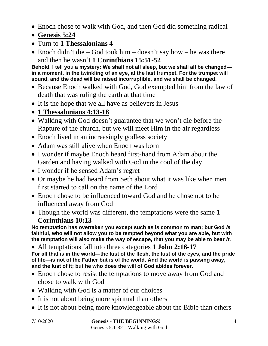- Enoch chose to walk with God, and then God did something radical
- **Genesis 5:24**
- Turn to **1 Thessalonians 4**
- Enoch didn't die God took him doesn't say how he was there and then he wasn't **1 Corinthians 15:51-52**

**Behold, I tell you a mystery: We shall not all sleep, but we shall all be changed in a moment, in the twinkling of an eye, at the last trumpet. For the trumpet will sound, and the dead will be raised incorruptible, and we shall be changed.**

- Because Enoch walked with God, God exempted him from the law of death that was ruling the earth at that time
- It is the hope that we all have as believers in Jesus
- **1 Thessalonians 4:13-18**
- Walking with God doesn't guarantee that we won't die before the Rapture of the church, but we will meet Him in the air regardless
- Enoch lived in an increasingly godless society
- Adam was still alive when Enoch was born
- I wonder if maybe Enoch heard first-hand from Adam about the Garden and having walked with God in the cool of the day
- I wonder if he sensed Adam's regret
- Or maybe he had heard from Seth about what it was like when men first started to call on the name of the Lord
- Enoch chose to be influenced toward God and he chose not to be influenced away from God
- Though the world was different, the temptations were the same **1 Corinthians 10:13**

**No temptation has overtaken you except such as is common to man; but God** *is* **faithful, who will not allow you to be tempted beyond what you are able, but with the temptation will also make the way of escape, that you may be able to bear** *it***.**

• All temptations fall into three categories **1 John 2:16-17 For all that** *is* **in the world—the lust of the flesh, the lust of the eyes, and the pride of life—is not of the Father but is of the world. And the world is passing away, and the lust of it; but he who does the will of God abides forever.**

- Enoch chose to resist the temptations to move away from God and chose to walk with God
- Walking with God is a matter of our choices
- It is not about being more spiritual than others
- It is not about being more knowledgeable about the Bible than others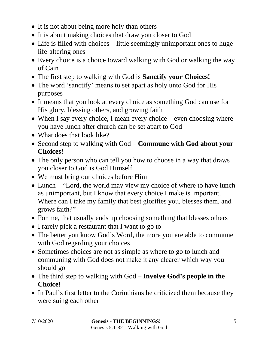- It is not about being more holy than others
- It is about making choices that draw you closer to God
- Life is filled with choices little seemingly unimportant ones to huge life-altering ones
- Every choice is a choice toward walking with God or walking the way of Cain
- The first step to walking with God is **Sanctify your Choices!**
- The word 'sanctify' means to set apart as holy unto God for His purposes
- It means that you look at every choice as something God can use for His glory, blessing others, and growing faith
- When I say every choice, I mean every choice even choosing where you have lunch after church can be set apart to God
- What does that look like?
- Second step to walking with God **Commune with God about your Choices!**
- The only person who can tell you how to choose in a way that draws you closer to God is God Himself
- We must bring our choices before Him
- Lunch "Lord, the world may view my choice of where to have lunch as unimportant, but I know that every choice I make is important. Where can I take my family that best glorifies you, blesses them, and grows faith?"
- For me, that usually ends up choosing something that blesses others
- I rarely pick a restaurant that I want to go to
- The better you know God's Word, the more you are able to commune with God regarding your choices
- Sometimes choices are not as simple as where to go to lunch and communing with God does not make it any clearer which way you should go
- The third step to walking with God **Involve God's people in the Choice!**
- In Paul's first letter to the Corinthians he criticized them because they were suing each other